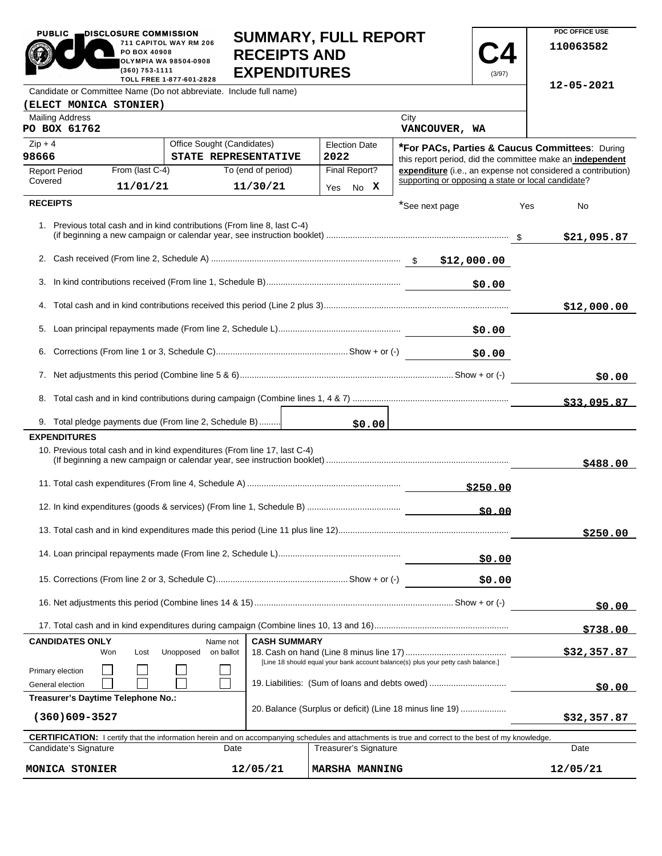| <b>PUBLIC</b><br>DISCLOSURE COMMISSION<br>PO BOX 40908                                                                                                                      | 711 CAPITOL WAY RM 206        | <b>SUMMARY, FULL REPORT</b>                |                                                                                                             |               |                                                    |             |                  | PDC OFFICE USE<br>110063582                                  |
|-----------------------------------------------------------------------------------------------------------------------------------------------------------------------------|-------------------------------|--------------------------------------------|-------------------------------------------------------------------------------------------------------------|---------------|----------------------------------------------------|-------------|------------------|--------------------------------------------------------------|
| (360) 753-1111                                                                                                                                                              | OLYMPIA WA 98504-0908         | <b>RECEIPTS AND</b><br><b>EXPENDITURES</b> |                                                                                                             |               |                                                    | (3/97)      |                  |                                                              |
| TOLL FREE 1-877-601-2828<br>Candidate or Committee Name (Do not abbreviate. Include full name)                                                                              |                               |                                            |                                                                                                             |               |                                                    |             | $12 - 05 - 2021$ |                                                              |
| (ELECT MONICA STONIER)                                                                                                                                                      |                               |                                            |                                                                                                             |               |                                                    |             |                  |                                                              |
| <b>Mailing Address</b><br>PO BOX 61762                                                                                                                                      |                               |                                            |                                                                                                             |               | City<br>VANCOUVER, WA                              |             |                  |                                                              |
| Office Sought (Candidates)<br>$Zip + 4$<br><b>Election Date</b><br>98666<br>2022<br>STATE REPRESENTATIVE                                                                    |                               |                                            | *For PACs, Parties & Caucus Committees: During<br>this report period, did the committee make an independent |               |                                                    |             |                  |                                                              |
| From (last C-4)<br><b>Report Period</b>                                                                                                                                     |                               | To (end of period)                         |                                                                                                             | Final Report? |                                                    |             |                  | expenditure (i.e., an expense not considered a contribution) |
| Covered<br>11/01/21                                                                                                                                                         |                               | 11/30/21                                   | Yes                                                                                                         | No X          | supporting or opposing a state or local candidate? |             |                  |                                                              |
| <b>RECEIPTS</b>                                                                                                                                                             |                               |                                            |                                                                                                             |               | *See next page                                     |             | Yes              | No                                                           |
| 1. Previous total cash and in kind contributions (From line 8, last C-4)                                                                                                    |                               |                                            |                                                                                                             |               |                                                    |             |                  | \$21,095.87                                                  |
|                                                                                                                                                                             |                               |                                            |                                                                                                             |               |                                                    |             |                  |                                                              |
|                                                                                                                                                                             |                               |                                            |                                                                                                             |               |                                                    | \$0.00      |                  |                                                              |
|                                                                                                                                                                             |                               |                                            |                                                                                                             |               |                                                    |             |                  | \$12,000.00                                                  |
|                                                                                                                                                                             |                               |                                            |                                                                                                             |               |                                                    |             |                  |                                                              |
| \$0.00                                                                                                                                                                      |                               |                                            |                                                                                                             |               |                                                    |             |                  |                                                              |
|                                                                                                                                                                             |                               |                                            |                                                                                                             |               |                                                    |             | \$0.00           |                                                              |
|                                                                                                                                                                             |                               |                                            |                                                                                                             |               |                                                    |             |                  | \$33,095.87                                                  |
| 9. Total pledge payments due (From line 2, Schedule B)                                                                                                                      |                               |                                            |                                                                                                             | \$0.00        |                                                    |             |                  |                                                              |
| <b>EXPENDITURES</b>                                                                                                                                                         |                               |                                            |                                                                                                             |               |                                                    |             |                  |                                                              |
| 10. Previous total cash and in kind expenditures (From line 17, last C-4)                                                                                                   |                               |                                            |                                                                                                             |               |                                                    |             |                  | \$488.00                                                     |
|                                                                                                                                                                             |                               |                                            |                                                                                                             |               |                                                    | \$250.00    |                  |                                                              |
|                                                                                                                                                                             |                               |                                            |                                                                                                             |               |                                                    | \$0.00      |                  |                                                              |
|                                                                                                                                                                             |                               |                                            |                                                                                                             |               |                                                    |             |                  | \$250.00                                                     |
| \$0.00                                                                                                                                                                      |                               |                                            |                                                                                                             |               |                                                    |             |                  |                                                              |
|                                                                                                                                                                             |                               |                                            |                                                                                                             |               | \$0.00                                             |             |                  |                                                              |
|                                                                                                                                                                             |                               |                                            |                                                                                                             |               |                                                    | \$0.00      |                  |                                                              |
|                                                                                                                                                                             |                               |                                            |                                                                                                             |               |                                                    |             |                  | \$738.00                                                     |
| <b>CASH SUMMARY</b><br><b>CANDIDATES ONLY</b><br>Name not<br>Unopposed<br>on ballot<br>Won<br>Lost                                                                          |                               |                                            |                                                                                                             |               |                                                    | \$32,357.87 |                  |                                                              |
| [Line 18 should equal your bank account balance(s) plus your petty cash balance.]<br>Primary election<br>19. Liabilities: (Sum of loans and debts owed)<br>General election |                               |                                            |                                                                                                             |               |                                                    | \$0.00      |                  |                                                              |
| Treasurer's Daytime Telephone No.:                                                                                                                                          |                               |                                            |                                                                                                             |               |                                                    |             |                  |                                                              |
| 20. Balance (Surplus or deficit) (Line 18 minus line 19)<br>$(360)609 - 3527$                                                                                               |                               |                                            |                                                                                                             |               |                                                    | \$32,357.87 |                  |                                                              |
| <b>CERTIFICATION:</b> I certify that the information herein and on accompanying schedules and attachments is true and correct to the best of my knowledge.                  |                               |                                            |                                                                                                             |               |                                                    |             |                  |                                                              |
| Candidate's Signature                                                                                                                                                       | Treasurer's Signature<br>Date |                                            |                                                                                                             |               |                                                    |             | Date             |                                                              |
| MONICA STONIER<br>12/05/21<br><b>MARSHA MANNING</b>                                                                                                                         |                               |                                            |                                                                                                             |               |                                                    | 12/05/21    |                  |                                                              |

**PDC OFFICE USE** 

PUBLIC **DISCLOSURE COMMISSION**